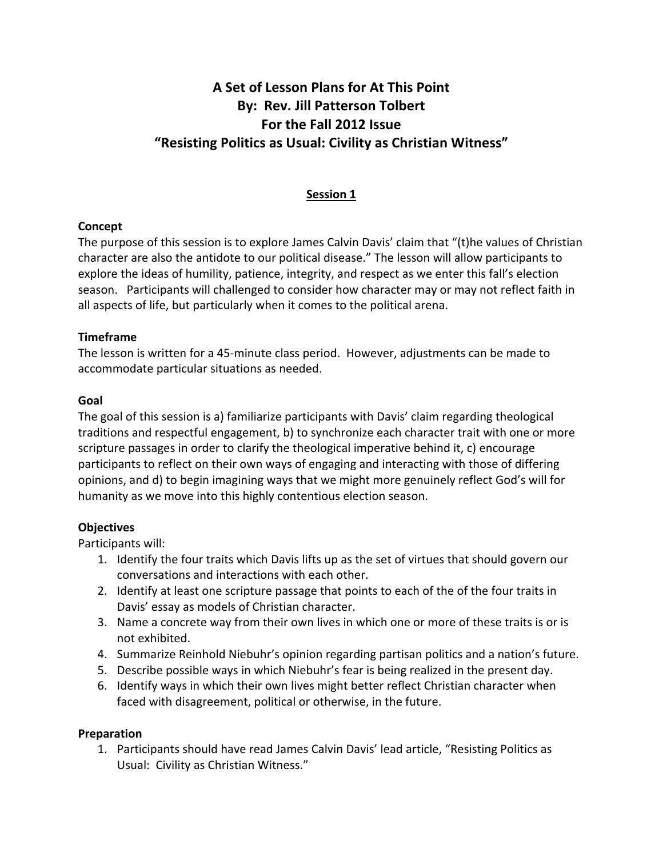# **A
Set
of
Lesson
Plans
for
At
This
Point By:

Rev.
Jill
Patterson
Tolbert For
the
Fall
2012
Issue "Resisting
Politics
as
Usual:
Civility
as
Christian
Witness"**

# **Session
1**

# **Concept**

The purpose of this session is to explore James Calvin Davis' claim that "(t)he values of Christian character
are
also
the
antidote
to
our
political
disease."
The
lesson
will
allow
participants
to explore the ideas of humility, patience, integrity, and respect as we enter this fall's election season. Participants will challenged to consider how character may or may not reflect faith in all
aspects
of
life,
but
particularly
when
it
comes
to
the
political
arena.

# **Timeframe**

The lesson is written for a 45-minute class period. However, adjustments can be made to accommodate
particular
situations
as
needed.

# **Goal**

The goal of this session is a) familiarize participants with Davis' claim regarding theological traditions
and
respectful
engagement, b)
to
synchronize
each
character
trait
with
one
or
more scripture passages in order to clarify the theological imperative behind it, c) encourage participants to reflect on their own ways of engaging and interacting with those of differing opinions, and d) to begin imagining ways that we might more genuinely reflect God's will for humanity as we move into this highly contentious election season.

# **Objectives**

Participants
will:

- 1. Identify the four traits which Davis lifts up as the set of virtues that should govern our conversations
and
interactions
with
each
other.
- 2. Identify at least one scripture passage that points to each of the of the four traits in Davis'
essay
as
models
of
Christian
character.
- 3. Name a concrete way from their own lives in which one or more of these traits is or is not
exhibited.
- 4. Summarize Reinhold Niebuhr's opinion regarding partisan politics and a nation's future.
- 5. Describe possible ways in which Niebuhr's fear is being realized in the present day.
- 6. Identify ways in which their own lives might better reflect Christian character when faced with disagreement, political or otherwise, in the future.

# **Preparation**

1. Participants should have read James Calvin Davis' lead article, "Resisting Politics as Usual:

Civility
as
Christian
Witness."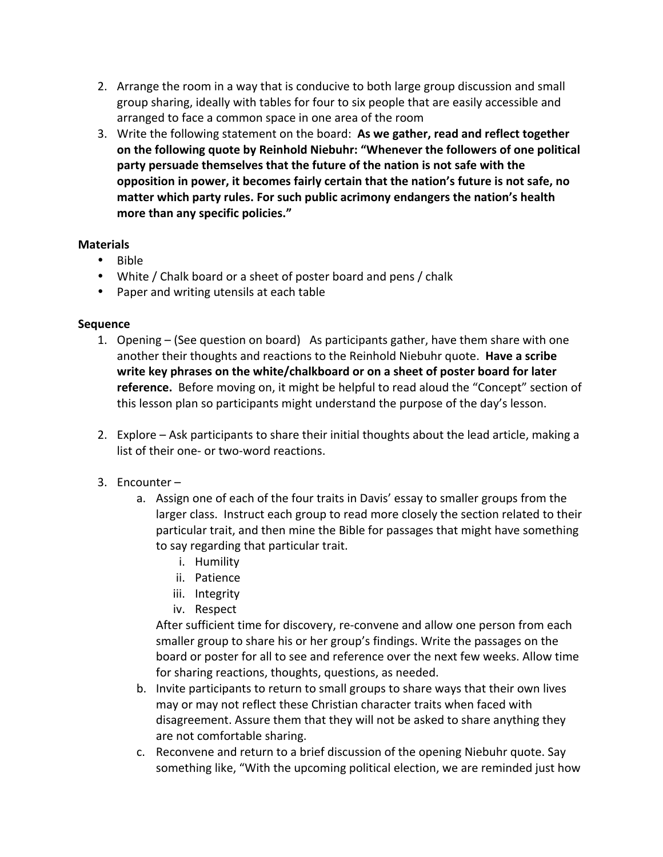- 2. Arrange the room in a way that is conducive to both large group discussion and small group sharing, ideally with tables for four to six people that are easily accessible and arranged
to
face
a
common
space
in
one
area
of
the
room
- 3. Write the following statement on the board: As we gather, read and reflect together on the following quote by Reinhold Niebuhr: "Whenever the followers of one political party persuade themselves that the future of the nation is not safe with the opposition in power, it becomes fairly certain that the nation's future is not safe, no matter which party rules. For such public acrimony endangers the nation's health **more
than
any
specific
policies."**

#### **Materials**

- Bible
- White / Chalk board or a sheet of poster board and pens / chalk
- Paper and writing utensils at each table

#### **Sequence**

- 1. Opening (See question on board) As participants gather, have them share with one another their thoughts and reactions to the Reinhold Niebuhr quote. Have a scribe write key phrases on the white/chalkboard or on a sheet of poster board for later **reference.** Before moving on, it might be helpful to read aloud the "Concept" section of this
lesson
plan
so
participants
might
understand
the
purpose
of
the
day's
lesson.
- 2. Explore Ask participants to share their initial thoughts about the lead article, making a list of their one- or two-word reactions.

# 3. Encounter
–

- a. Assign one of each of the four traits in Davis' essay to smaller groups from the larger class. Instruct each group to read more closely the section related to their particular trait, and then mine the Bible for passages that might have something to
say
regarding
that
particular
trait.
	- i. Humility
	- ii. Patience
	- iii. Integrity
	- iv. Respect

After
sufficient
time
for
discovery,
re‐convene
and
allow
one
person
from
each smaller group to share his or her group's findings. Write the passages on the board
or
poster
for
all
to
see
and
reference
over
the
next
few
weeks.
Allow
time for
sharing
reactions,
thoughts,
questions,
as
needed.

- b. Invite participants to return to small groups to share ways that their own lives may
or
may
not
reflect
these
Christian
character
traits
when
faced
with disagreement. Assure them that they will not be asked to share anything they are
not
comfortable
sharing.
- c. Reconvene
and
return
to
a
brief
discussion
of
the
opening
Niebuhr
quote.
Say something like, "With the upcoming political election, we are reminded just how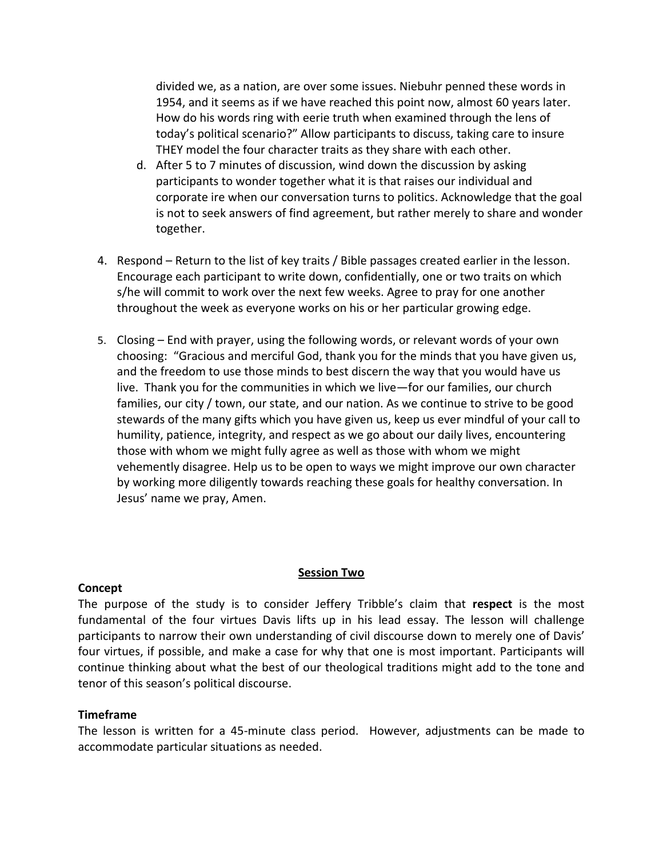divided we, as a nation, are over some issues. Niebuhr penned these words in 1954, and it seems as if we have reached this point now, almost 60 years later. How do his words ring with eerie truth when examined through the lens of today's
political
scenario?"
Allow
participants
to
discuss,
taking
care
to
insure THEY model the four character traits as they share with each other.

- d. After 5 to 7 minutes of discussion, wind down the discussion by asking participants
to
wonder
together
what
it
is
that
raises
our
individual
and corporate ire when our conversation turns to politics. Acknowledge that the goal is not to seek answers of find agreement, but rather merely to share and wonder together.
- 4. Respond Return to the list of key traits / Bible passages created earlier in the lesson. Encourage each participant to write down, confidentially, one or two traits on which s/he will commit to work over the next few weeks. Agree to pray for one another throughout the week as everyone works on his or her particular growing edge.
- 5. Closing End with prayer, using the following words, or relevant words of your own choosing: "Gracious and merciful God, thank you for the minds that you have given us, and the freedom to use those minds to best discern the way that you would have us live. Thank you for the communities in which we live—for our families, our church families, our city / town, our state, and our nation. As we continue to strive to be good stewards of the many gifts which you have given us, keep us ever mindful of your call to humility, patience, integrity, and respect as we go about our daily lives, encountering those with whom we might fully agree as well as those with whom we might vehemently disagree. Help us to be open to ways we might improve our own character by working more diligently towards reaching these goals for healthy conversation. In Jesus'
name
we
pray,
Amen.

#### **Concept**

#### **Session
Two**

The purpose of the study is to consider Jeffery Tribble's claim that respect is the most fundamental of the four virtues Davis lifts up in his lead essay. The lesson will challenge participants to narrow their own understanding of civil discourse down to merely one of Davis' four virtues, if possible, and make a case for why that one is most important. Participants will continue thinking about what the best of our theological traditions might add to the tone and tenor
of
this
season's
political
discourse.

#### **Timeframe**

The lesson is written for a 45-minute class period. However, adjustments can be made to accommodate
particular
situations
as
needed.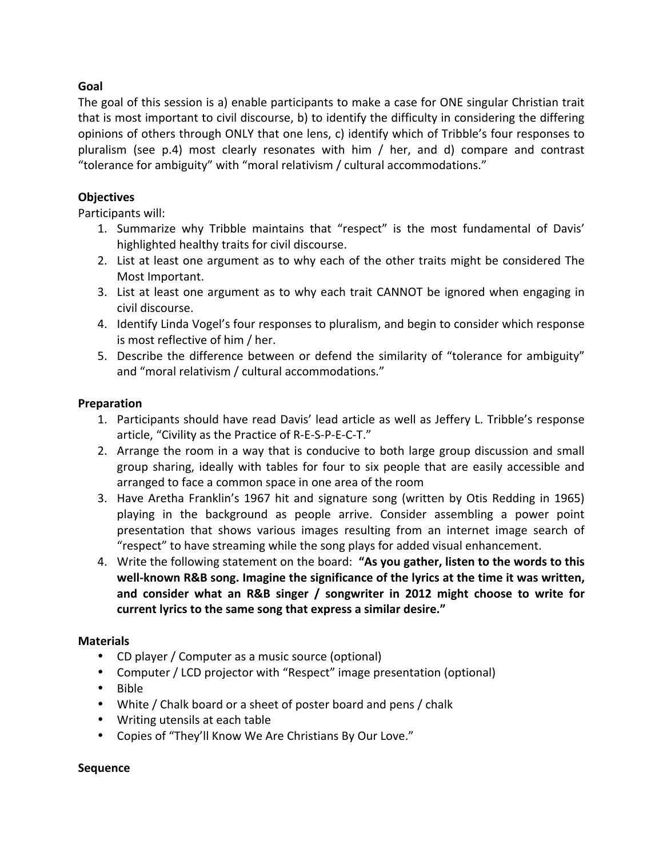### **Goal**

The goal of this session is a) enable participants to make a case for ONE singular Christian trait that is most important to civil discourse, b) to identify the difficulty in considering the differing opinions
of
others
through
ONLY
that
one
lens,
c)
identify
which
of
Tribble's
four
responses
to pluralism (see p.4) most clearly resonates with him / her, and d) compare and contrast "tolerance
for
ambiguity"
with
"moral
relativism
/
cultural
accommodations."

### **Objectives**

Participants
will:

- 1. Summarize why Tribble maintains that "respect" is the most fundamental of Davis' highlighted
healthy
traits
for
civil
discourse.
- 2. List at least one argument as to why each of the other traits might be considered The Most
Important.
- 3. List at least one argument as to why each trait CANNOT be ignored when engaging in civil
discourse.
- 4. Identify
Linda
Vogel's
four
responses
to
pluralism,
and
begin
to
consider
which
response is
most
reflective
of
him
/
her.
- 5. Describe the difference between or defend the similarity of "tolerance for ambiguity" and
"moral
relativism
/
cultural
accommodations."

#### **Preparation**

- 1. Participants should have read Davis' lead article as well as Jeffery L. Tribble's response article,
"Civility
as
the
Practice
of
R‐E‐S‐P‐E‐C‐T."
- 2. Arrange the room in a way that is conducive to both large group discussion and small group sharing, ideally with tables for four to six people that are easily accessible and arranged
to
face
a
common
space
in
one
area
of
the
room
- 3. Have Aretha Franklin's 1967 hit and signature song (written by Otis Redding in 1965) playing
 in
 the
 background
 as
 people
 arrive.
 Consider
 assembling
 a
 power
 point presentation that shows various images resulting from an internet image search of "respect"
to
have
streaming
while
the
song
plays
for
added
visual
enhancement.
- 4. Write the following statement on the board: "As you gather, listen to the words to this well-known R&B song. Imagine the significance of the lyrics at the time it was written, and consider what an R&B singer / songwriter in 2012 might choose to write for **current
lyrics
to
the
same
song
that
express
a
similar
desire."**

# **Materials**

- CD player / Computer as a music source (optional)
- Computer / LCD projector with "Respect" image presentation (optional)
- Bible
- White / Chalk board or a sheet of poster board and pens / chalk
- Writing utensils at each table
- Copies of "They'll Know We Are Christians By Our Love."

#### **Sequence**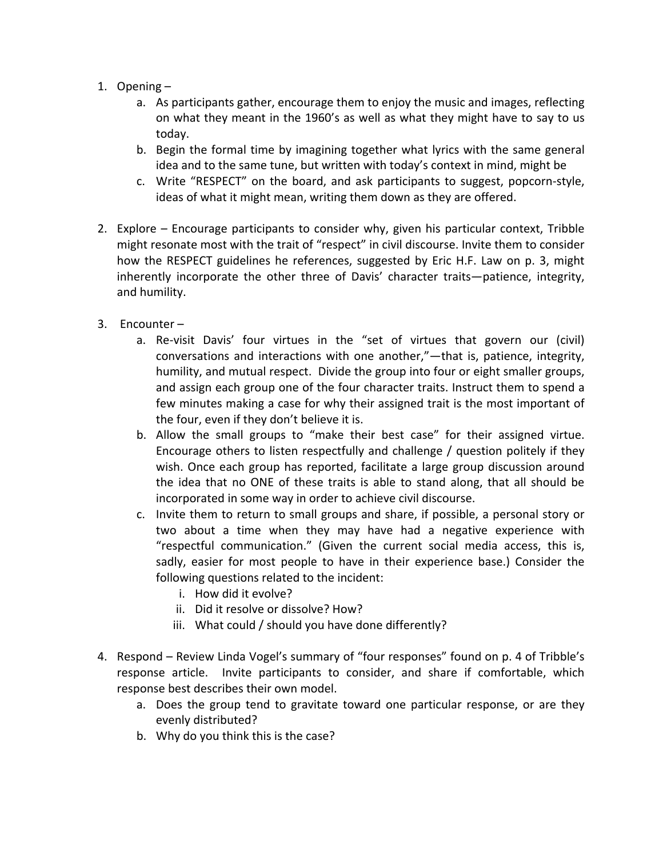- 1. Opening
	- a. As participants gather, encourage them to enjoy the music and images, reflecting on
	what
	they
	meant
	in
	the
	1960's
	as
	well
	as
	what
	they
	might
	have
	to
	say
	to
	us today.
	- b. Begin the formal time by imagining together what lyrics with the same general idea
	and
	to
	the
	same
	tune,
	but
	written
	with
	today's
	context
	in
	mind,
	might
	be
	- c. Write "RESPECT" on the board, and ask participants to suggest, popcorn-style, ideas of what it might mean, writing them down as they are offered.
- 2. Explore Encourage participants to consider why, given his particular context, Tribble might resonate most with the trait of "respect" in civil discourse. Invite them to consider how the RESPECT guidelines he references, suggested by Eric H.F. Law on p. 3, might inherently incorporate the other three of Davis' character traits—patience, integrity, and
humility.
- 3. Encounter
	- a. Re-visit Davis' four virtues in the "set of virtues that govern our (civil) conversations and interactions with one another,"—that is, patience, integrity, humility, and mutual respect. Divide the group into four or eight smaller groups, and assign each group one of the four character traits. Instruct them to spend a few minutes making a case for why their assigned trait is the most important of the four, even if they don't believe it is.
	- b. Allow the small groups to "make their best case" for their assigned virtue. Encourage others to listen respectfully and challenge / question politely if they wish. Once each group has reported, facilitate a large group discussion around the idea that no ONE of these traits is able to stand along, that all should be incorporated in some way in order to achieve civil discourse.
	- c. Invite them to return to small groups and share, if possible, a personal story or two about a time when they may have had a negative experience with "respectful
	 communication."
	 (Given
	 the
	 current
	 social
	 media
	 access,
	 this
	 is, sadly, easier for most people to have in their experience base.) Consider the following questions related to the incident:
		- i. How
		did
		it
		evolve?
		- ii. Did it resolve or dissolve? How?
		- iii. What could / should you have done differently?
- 4. Respond Review Linda Vogel's summary of "four responses" found on p. 4 of Tribble's response article. Invite participants to consider, and share if comfortable, which response
best
describes
their
own
model.
	- a. Does the group tend to gravitate toward one particular response, or are they evenly
	distributed?
	- b. Why do you think this is the case?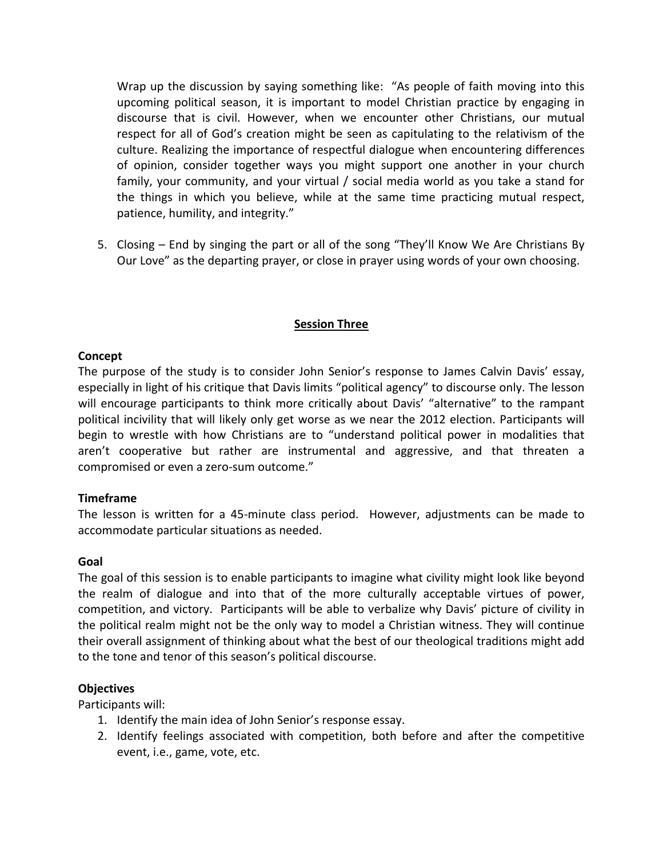Wrap up the discussion by saying something like: "As people of faith moving into this upcoming political season, it is important to model Christian practice by engaging in discourse that is civil. However, when we encounter other Christians, our mutual respect for all of God's creation might be seen as capitulating to the relativism of the culture. Realizing the importance of respectful dialogue when encountering differences of opinion, consider together ways you might support one another in your church family, your community, and your virtual / social media world as you take a stand for the things in which you believe, while at the same time practicing mutual respect, patience,
humility,
and
integrity."

5. Closing – End by singing the part or all of the song "They'll Know We Are Christians By Our Love" as the departing prayer, or close in prayer using words of your own choosing.

# **Session
Three**

#### **Concept**

The purpose of the study is to consider John Senior's response to James Calvin Davis' essay, especially in light of his critique that Davis limits "political agency" to discourse only. The lesson will encourage participants to think more critically about Davis' "alternative" to the rampant political incivility that will likely only get worse as we near the 2012 election. Participants will begin to wrestle with how Christians are to "understand political power in modalities that aren't cooperative but rather are instrumental and aggressive, and that threaten a compromised
or
even
a
zero‐sum
outcome."

#### **Timeframe**

The lesson is written for a 45-minute class period. However, adjustments can be made to accommodate
particular
situations
as
needed.

#### **Goal**

The goal of this session is to enable participants to imagine what civility might look like beyond the realm of dialogue and into that of the more culturally acceptable virtues of power, competition,
and
victory.

Participants
will
be
able
to
verbalize
why
Davis'
picture
of
civility
in the political realm might not be the only way to model a Christian witness. They will continue their overall assignment of thinking about what the best of our theological traditions might add to
the
tone
and
tenor
of
this
season's
political
discourse.

#### **Objectives**

Participants
will:

- 1. Identify
the
main
idea
of
John
Senior's
response
essay.
- 2. Identify feelings associated with competition, both before and after the competitive event,
i.e.,
game,
vote,
etc.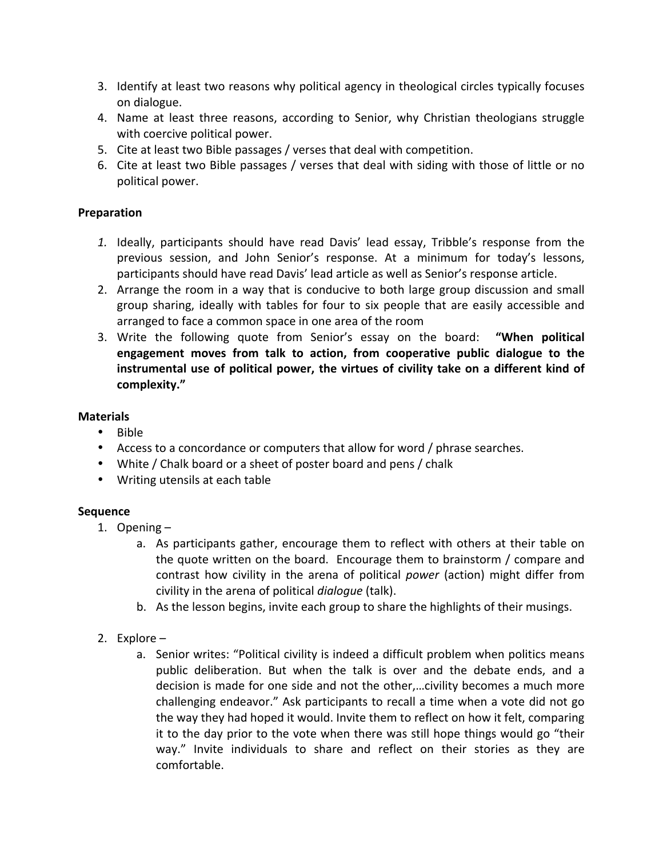- 3. Identify at least two reasons why political agency in theological circles typically focuses on
dialogue.
- 4. Name at least three reasons, according to Senior, why Christian theologians struggle with
coercive
political
power.
- 5. Cite
at
least
two
Bible
passages
/
verses
that
deal
with
competition.
- 6. Cite at least two Bible passages / verses that deal with siding with those of little or no political
power.

### **Preparation**

- 1. Ideally, participants should have read Davis' lead essay, Tribble's response from the previous session, and John Senior's response. At a minimum for today's lessons, participants should have read Davis' lead article as well as Senior's response article.
- 2. Arrange the room in a way that is conducive to both large group discussion and small group sharing, ideally with tables for four to six people that are easily accessible and arranged
to
face
a
common
space
in
one
area
of
the
room
- 3. Write the following quote from Senior's essay on the board: "When political engagement moves from talk to action, from cooperative public dialogue to the instrumental use of political power, the virtues of civility take on a different kind of **complexity."**

#### **Materials**

- Bible
- Access to a concordance or computers that allow for word / phrase searches.
- White / Chalk board or a sheet of poster board and pens / chalk
- Writing utensils at each table

# **Sequence**

- 1. Opening
	- a. As participants gather, encourage them to reflect with others at their table on the
	quote
	written
	on
	the
	board.
	
	Encourage
	them
	to
	brainstorm
	/
	compare
	and contrast how civility in the arena of political *power* (action) might differ from civility
	in
	the
	arena
	of
	political *dialogue* (talk).
	- b. As the lesson begins, invite each group to share the highlights of their musings.
- 2. Explore
	- a. Senior writes: "Political civility is indeed a difficult problem when politics means public deliberation. But when the talk is over and the debate ends, and a decision is made for one side and not the other,...civility becomes a much more challenging
	endeavor."
	Ask
	participants
	to
	recall
	a
	time
	when
	a
	vote
	did
	not
	go the
	way
	they
	had
	hoped
	it
	would.
	Invite
	them
	to
	reflect
	on
	how
	it
	felt,
	comparing it to the day prior to the vote when there was still hope things would go "their way." Invite individuals to share and reflect on their stories as they are comfortable.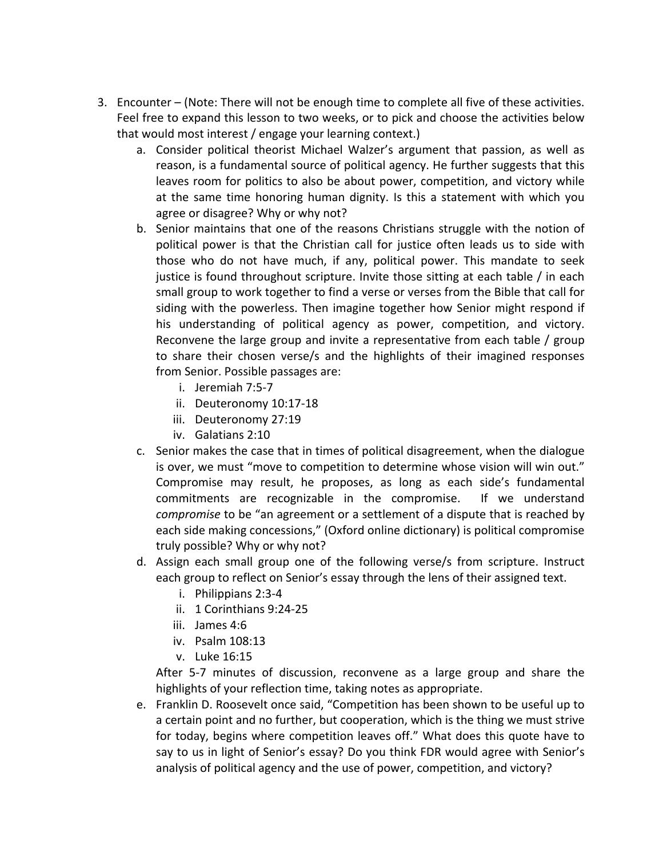- 3. Encounter
 (Note:
There
will
not
be
enough
time
to
complete
all
five
of
these
activities. Feel free to expand this lesson to two weeks, or to pick and choose the activities below that
would
most
interest
/
engage
your
learning
context.)
	- a. Consider political theorist Michael Walzer's argument that passion, as well as reason, is a fundamental source of political agency. He further suggests that this leaves room for politics to also be about power, competition, and victory while at the same time honoring human dignity. Is this a statement with which you agree
	or
	disagree?
	Why
	or
	why
	not?
	- b. Senior maintains that one of the reasons Christians struggle with the notion of political power is that the Christian call for justice often leads us to side with those who do not have much, if any, political power. This mandate to seek justice is found throughout scripture. Invite those sitting at each table / in each small group to work together to find a verse or verses from the Bible that call for siding with the powerless. Then imagine together how Senior might respond if his understanding of political agency as power, competition, and victory. Reconvene the large group and invite a representative from each table / group to share their chosen verse/s and the highlights of their imagined responses from
	Senior.
	Possible
	passages
	are:
		- i. Jeremiah
		7:5‐7
		- ii. Deuteronomy
		10:17‐18
		- iii. Deuteronomy
		27:19
		- iv. Galatians
		2:10
	- c. Senior makes the case that in times of political disagreement, when the dialogue is over, we must "move to competition to determine whose vision will win out." Compromise may result, he proposes, as long as each side's fundamental commitments are recognizable in the compromise. If we understand compromise to be "an agreement or a settlement of a dispute that is reached by each side making concessions," (Oxford online dictionary) is political compromise truly
	possible?
	Why
	or
	why
	not?
	- d. Assign each small group one of the following verse/s from scripture. Instruct each group to reflect on Senior's essay through the lens of their assigned text.
		- i. Philippians
		2:3‐4
		- ii. 1
		Corinthians
		9:24‐25
		- iii. James
		4:6
		- iv. Psalm
		108:13
		- v. Luke
		16:15

After 5-7 minutes of discussion, reconvene as a large group and share the highlights of your reflection time, taking notes as appropriate.

e. Franklin
D.
Roosevelt
once
said,
"Competition has been shown to be useful up to a certain point and no further, but cooperation, which is the thing we must strive for today, begins where competition leaves off." What does this quote have to say to us in light of Senior's essay? Do you think FDR would agree with Senior's analysis of political agency and the use of power, competition, and victory?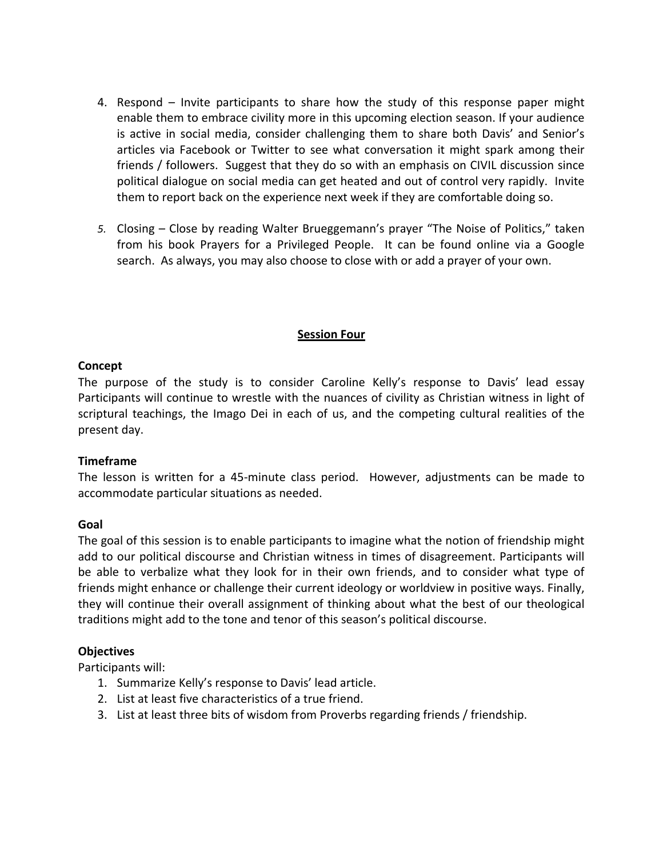- 4. Respond Invite participants to share how the study of this response paper might enable them to embrace civility more in this upcoming election season. If your audience is active in social media, consider challenging them to share both Davis' and Senior's articles via Facebook or Twitter to see what conversation it might spark among their friends / followers. Suggest that they do so with an emphasis on CIVIL discussion since political dialogue on social media can get heated and out of control very rapidly. Invite them to report back on the experience next week if they are comfortable doing so.
- 5. Closing Close by reading Walter Brueggemann's prayer "The Noise of Politics," taken from his book Prayers for a Privileged People. It can be found online via a Google search. As always, you may also choose to close with or add a prayer of your own.

#### **Session
Four**

#### **Concept**

The purpose of the study is to consider Caroline Kelly's response to Davis' lead essay Participants will continue to wrestle with the nuances of civility as Christian witness in light of scriptural teachings, the Imago Dei in each of us, and the competing cultural realities of the present
day.

#### **Timeframe**

The lesson is written for a 45-minute class period. However, adjustments can be made to accommodate
particular
situations
as
needed.

#### **Goal**

The goal of this session is to enable participants to imagine what the notion of friendship might add to our political discourse and Christian witness in times of disagreement. Participants will be able to verbalize what they look for in their own friends, and to consider what type of friends might enhance or challenge their current ideology or worldview in positive ways. Finally, they will continue their overall assignment of thinking about what the best of our theological traditions
might
add
to
the
tone
and
tenor
of
this
season's
political
discourse.

#### **Objectives**

Participants
will:

- 1. Summarize
Kelly's
response
to
Davis'
lead
article.
- 2. List
at
least
five
characteristics
of
a
true
friend.
- 3. List
at
least
three
bits
of
wisdom
from
Proverbs
regarding
friends
/
friendship.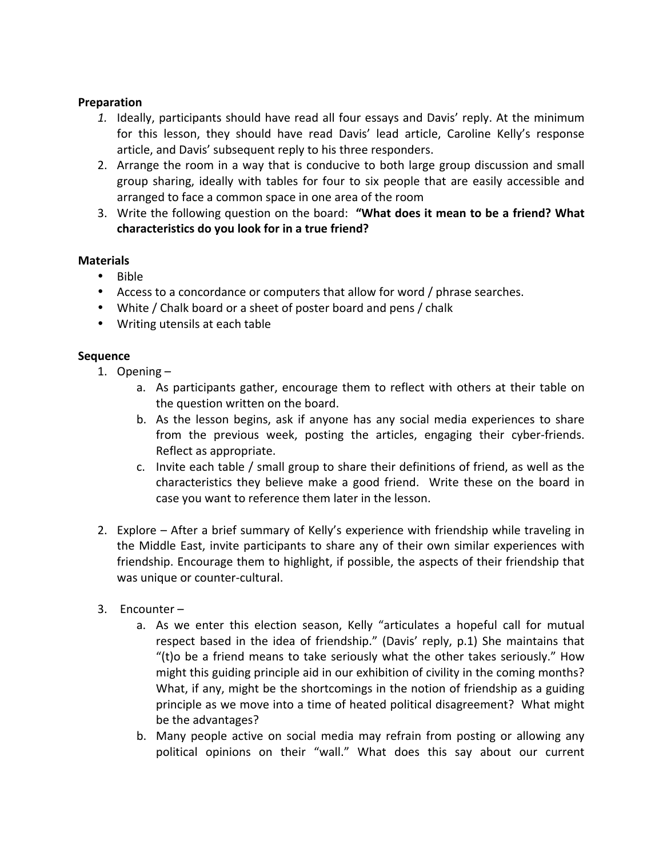#### **Preparation**

- 1. Ideally, participants should have read all four essays and Davis' reply. At the minimum for this lesson, they should have read Davis' lead article, Caroline Kelly's response article,
and
Davis'
subsequent
reply
to
his
three
responders.
- 2. Arrange the room in a way that is conducive to both large group discussion and small group sharing, ideally with tables for four to six people that are easily accessible and arranged
to
face
a
common
space
in
one
area
of
the
room
- 3. Write the following question on the board: "What does it mean to be a friend? What **characteristics
do
you
look
for
in
a
true
friend?**

#### **Materials**

- Bible
- Access to a concordance or computers that allow for word / phrase searches.
- White / Chalk board or a sheet of poster board and pens / chalk
- Writing utensils at each table

#### **Sequence**

- 1. Opening
	- a. As participants gather, encourage them to reflect with others at their table on the
	question
	written
	on
	the
	board.
	- b. As the lesson begins, ask if anyone has any social media experiences to share from the previous week, posting the articles, engaging their cyber-friends. Reflect
	as
	appropriate.
	- c. Invite each table / small group to share their definitions of friend, as well as the characteristics they believe make a good friend. Write these on the board in case
	you
	want
	to
	reference
	them
	later
	in
	the
	lesson.
- 2. Explore After a brief summary of Kelly's experience with friendship while traveling in the Middle East, invite participants to share any of their own similar experiences with friendship. Encourage them to highlight, if possible, the aspects of their friendship that was
unique
or
counter‐cultural.
- 3. Encounter
	- a. As we enter this election season, Kelly "articulates a hopeful call for mutual respect based in the idea of friendship." (Davis' reply, p.1) She maintains that "(t)o be a friend means to take seriously what the other takes seriously." How might this guiding principle aid in our exhibition of civility in the coming months? What, if any, might be the shortcomings in the notion of friendship as a guiding principle
	as
	we
	move
	into
	a
	time
	of
	heated
	political
	disagreement?
	
	What
	might be
	the
	advantages?
	- b. Many people active on social media may refrain from posting or allowing any political opinions on their "wall." What does this say about our current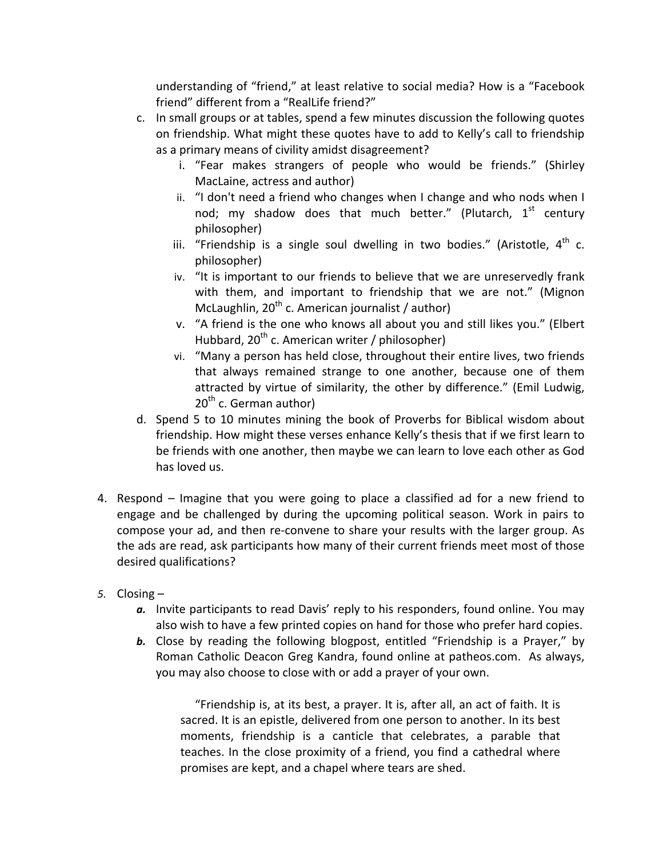understanding of "friend," at least relative to social media? How is a "Facebook friend" different from a "RealLife friend?"

- c. In small groups or at tables, spend a few minutes discussion the following quotes on friendship. What might these quotes have to add to Kelly's call to friendship as
a
primary
means
of
civility
amidst
disagreement?
	- i. "Fear
	 makes
	 strangers
	 of
	 people
	 who
	 would
	 be
	 friends."
	 (Shirley MacLaine,
	actress
	and
	author)
	- ii. "I don't need a friend who changes when I change and who nods when I nod; my shadow does that much better." (Plutarch,  $1<sup>st</sup>$  century philosopher)
	- iii. "Friendship is a single soul dwelling in two bodies." (Aristotle,  $4^{\text{th}}$  c. philosopher)
	- iv. "It is important to our friends to believe that we are unreservedly frank with them, and important to friendship that we are not." (Mignon McLaughlin,  $20^{th}$  c. American journalist / author)
	- v. "A friend is the one who knows all about you and still likes you." (Elbert Hubbard,  $20^{th}$  c. American writer / philosopher)
	- vi. "Many a person has held close, throughout their entire lives, two friends that always remained strange to one another, because one of them attracted by virtue of similarity, the other by difference." (Emil Ludwig,  $20<sup>th</sup>$  c. German author)
- d. Spend 5 to 10 minutes mining the book of Proverbs for Biblical wisdom about friendship. How might these verses enhance Kelly's thesis that if we first learn to be friends with one another, then maybe we can learn to love each other as God has loved us.
- 4. Respond Imagine that you were going to place a classified ad for a new friend to engage and be challenged by during the upcoming political season. Work in pairs to compose your ad, and then re-convene to share your results with the larger group. As the ads are read, ask participants how many of their current friends meet most of those desired
qualifications?
- *5.* Closing
	- a. Invite participants to read Davis' reply to his responders, found online. You may also
	wish
	to
	have
	a
	few
	printed
	copies
	on
	hand
	for
	those
	who
	prefer
	hard
	copies.
	- **b.** Close by reading the following blogpost, entitled "Friendship is a Prayer," by Roman Catholic Deacon Greg Kandra, found online at patheos.com. As always, you may also choose to close with or add a prayer of your own.

"Friendship is, at its best, a prayer. It is, after all, an act of faith. It is sacred. It is an epistle, delivered from one person to another. In its best moments, friendship is a canticle that celebrates, a parable that teaches.
In
 the
close
proximity
of
a
 friend,
you
 find
a
cathedral
where promises
are
kept,
and
a
chapel
where
tears
are
shed.